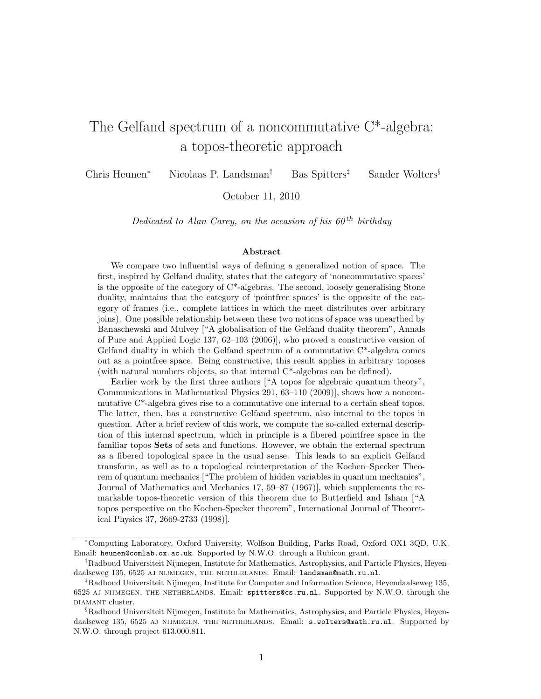# The Gelfand spectrum of a noncommutative C\*-algebra: a topos-theoretic approach

Chris Heunen<sup>∗</sup> Nicolaas P. Landsman† Bas Spitters‡ Sander Wolters§

October 11, 2010

Dedicated to Alan Carey, on the occasion of his  $60^{th}$  birthday

#### Abstract

We compare two influential ways of defining a generalized notion of space. The first, inspired by Gelfand duality, states that the category of 'noncommutative spaces' is the opposite of the category of  $C^*$ -algebras. The second, loosely generalising Stone duality, maintains that the category of 'pointfree spaces' is the opposite of the category of frames (i.e., complete lattices in which the meet distributes over arbitrary joins). One possible relationship between these two notions of space was unearthed by Banaschewski and Mulvey ["A globalisation of the Gelfand duality theorem", Annals of Pure and Applied Logic 137, 62–103 (2006)], who proved a constructive version of Gelfand duality in which the Gelfand spectrum of a commutative  $C^*$ -algebra comes out as a pointfree space. Being constructive, this result applies in arbitrary toposes (with natural numbers objects, so that internal C\*-algebras can be defined).

Earlier work by the first three authors ["A topos for algebraic quantum theory", Communications in Mathematical Physics 291, 63–110 (2009)], shows how a noncommutative C\*-algebra gives rise to a commutative one internal to a certain sheaf topos. The latter, then, has a constructive Gelfand spectrum, also internal to the topos in question. After a brief review of this work, we compute the so-called external description of this internal spectrum, which in principle is a fibered pointfree space in the familiar topos Sets of sets and functions. However, we obtain the external spectrum as a fibered topological space in the usual sense. This leads to an explicit Gelfand transform, as well as to a topological reinterpretation of the Kochen–Specker Theorem of quantum mechanics ["The problem of hidden variables in quantum mechanics", Journal of Mathematics and Mechanics 17, 59–87 (1967)], which supplements the remarkable topos-theoretic version of this theorem due to Butterfield and Isham ["A topos perspective on the Kochen-Specker theorem", International Journal of Theoretical Physics 37, 2669-2733 (1998)].

<sup>∗</sup>Computing Laboratory, Oxford University, Wolfson Building, Parks Road, Oxford OX1 3QD, U.K. Email: heunen@comlab.ox.ac.uk. Supported by N.W.O. through a Rubicon grant.

<sup>†</sup>Radboud Universiteit Nijmegen, Institute for Mathematics, Astrophysics, and Particle Physics, Heyendaalseweg 135, 6525 AJ NIJMEGEN, THE NETHERLANDS. Email: landsman@math.ru.nl.

<sup>‡</sup>Radboud Universiteit Nijmegen, Institute for Computer and Information Science, Heyendaalseweg 135, 6525 aj nijmegen, the netherlands. Email: spitters@cs.ru.nl. Supported by N.W.O. through the DIAMANT cluster.

<sup>§</sup>Radboud Universiteit Nijmegen, Institute for Mathematics, Astrophysics, and Particle Physics, Heyendaalseweg 135, 6525 AJ NIJMEGEN, THE NETHERLANDS. Email: s.wolters@math.ru.nl. Supported by N.W.O. through project 613.000.811.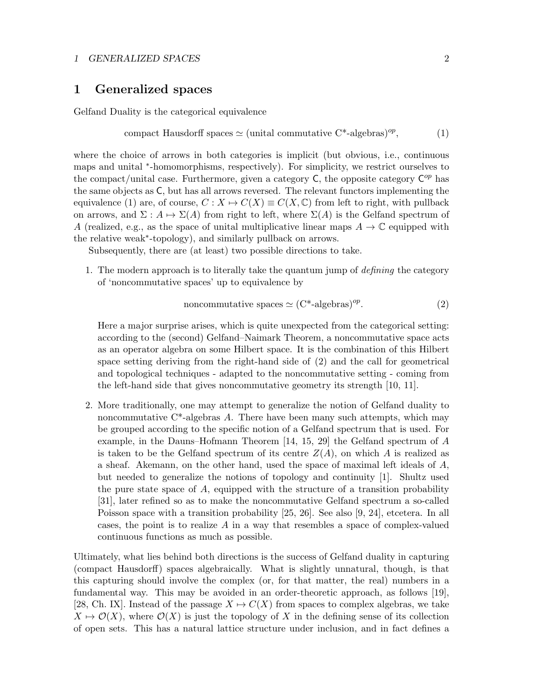## 1 GENERALIZED SPACES 2

## 1 Generalized spaces

Gelfand Duality is the categorical equivalence

compact Hausdorff spaces 
$$
\simeq
$$
 (unital commutative C<sup>\*</sup>-algebras)<sup>op</sup>, (1)

where the choice of arrows in both categories is implicit (but obvious, i.e., continuous maps and unital <sup>\*</sup>-homomorphisms, respectively). For simplicity, we restrict ourselves to the compact/unital case. Furthermore, given a category  $C$ , the opposite category  $C^{op}$  has the same objects as C, but has all arrows reversed. The relevant functors implementing the equivalence (1) are, of course,  $C: X \mapsto C(X) \equiv C(X, \mathbb{C})$  from left to right, with pullback on arrows, and  $\Sigma: A \mapsto \Sigma(A)$  from right to left, where  $\Sigma(A)$  is the Gelfand spectrum of A (realized, e.g., as the space of unital multiplicative linear maps  $A \to \mathbb{C}$  equipped with the relative weak<sup>∗</sup> -topology), and similarly pullback on arrows.

Subsequently, there are (at least) two possible directions to take.

1. The modern approach is to literally take the quantum jump of defining the category of 'noncommutative spaces' up to equivalence by

noncommutative spaces 
$$
\simeq
$$
 (C<sup>\*</sup>-algebras)<sup>op</sup>. (2)

Here a major surprise arises, which is quite unexpected from the categorical setting: according to the (second) Gelfand–Naimark Theorem, a noncommutative space acts as an operator algebra on some Hilbert space. It is the combination of this Hilbert space setting deriving from the right-hand side of (2) and the call for geometrical and topological techniques - adapted to the noncommutative setting - coming from the left-hand side that gives noncommutative geometry its strength [10, 11].

2. More traditionally, one may attempt to generalize the notion of Gelfand duality to noncommutative  $C^*$ -algebras A. There have been many such attempts, which may be grouped according to the specific notion of a Gelfand spectrum that is used. For example, in the Dauns–Hofmann Theorem [14, 15, 29] the Gelfand spectrum of A is taken to be the Gelfand spectrum of its centre  $Z(A)$ , on which A is realized as a sheaf. Akemann, on the other hand, used the space of maximal left ideals of A, but needed to generalize the notions of topology and continuity [1]. Shultz used the pure state space of  $A$ , equipped with the structure of a transition probability [31], later refined so as to make the noncommutative Gelfand spectrum a so-called Poisson space with a transition probability [25, 26]. See also [9, 24], etcetera. In all cases, the point is to realize A in a way that resembles a space of complex-valued continuous functions as much as possible.

Ultimately, what lies behind both directions is the success of Gelfand duality in capturing (compact Hausdorff) spaces algebraically. What is slightly unnatural, though, is that this capturing should involve the complex (or, for that matter, the real) numbers in a fundamental way. This may be avoided in an order-theoretic approach, as follows [19], [28, Ch. IX]. Instead of the passage  $X \mapsto C(X)$  from spaces to complex algebras, we take  $X \mapsto \mathcal{O}(X)$ , where  $\mathcal{O}(X)$  is just the topology of X in the defining sense of its collection of open sets. This has a natural lattice structure under inclusion, and in fact defines a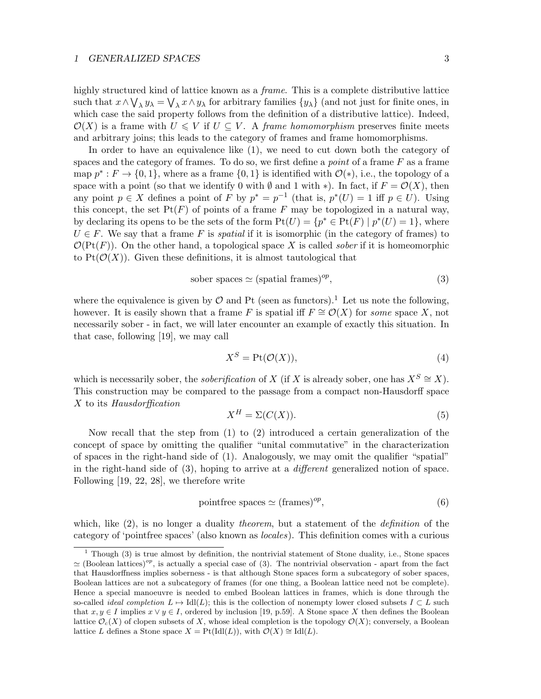#### 1 GENERALIZED SPACES 3

highly structured kind of lattice known as a *frame*. This is a complete distributive lattice such that  $x \wedge \bigvee_{\lambda} y_{\lambda} = \bigvee_{\lambda} x \wedge y_{\lambda}$  for arbitrary families  $\{y_{\lambda}\}\$  (and not just for finite ones, in which case the said property follows from the definition of a distributive lattice). Indeed,  $\mathcal{O}(X)$  is a frame with  $U \leq V$  if  $U \subseteq V$ . A *frame homomorphism* preserves finite meets and arbitrary joins; this leads to the category of frames and frame homomorphisms.

In order to have an equivalence like (1), we need to cut down both the category of spaces and the category of frames. To do so, we first define a *point* of a frame  $F$  as a frame map  $p^*: F \to \{0, 1\}$ , where as a frame  $\{0, 1\}$  is identified with  $\mathcal{O}(*)$ , i.e., the topology of a space with a point (so that we identify 0 with  $\emptyset$  and 1 with \*). In fact, if  $F = \mathcal{O}(X)$ , then any point  $p \in X$  defines a point of F by  $p^* = p^{-1}$  (that is,  $p^*(U) = 1$  iff  $p \in U$ ). Using this concept, the set  $Pt(F)$  of points of a frame F may be topologized in a natural way, by declaring its opens to be the sets of the form  $Pt(U) = \{p^* \in Pt(F) \mid p^*(U) = 1\}$ , where  $U \in F$ . We say that a frame F is *spatial* if it is isomorphic (in the category of frames) to  $\mathcal{O}(\mathrm{Pt}(F))$ . On the other hand, a topological space X is called *sober* if it is homeomorphic to  $Pt(\mathcal{O}(X))$ . Given these definitions, it is almost tautological that

$$
sober spaces \simeq (spatial frames)^{op},\tag{3}
$$

where the equivalence is given by  $\mathcal O$  and Pt (seen as functors).<sup>1</sup> Let us note the following, however. It is easily shown that a frame F is spatial iff  $F \cong \mathcal{O}(X)$  for some space X, not necessarily sober - in fact, we will later encounter an example of exactly this situation. In that case, following [19], we may call

$$
X^S = \text{Pt}(\mathcal{O}(X)),\tag{4}
$$

which is necessarily sober, the *soberification* of X (if X is already sober, one has  $X^S \cong X$ ). This construction may be compared to the passage from a compact non-Hausdorff space X to its Hausdorffication

$$
X^H = \Sigma(C(X)).\tag{5}
$$

Now recall that the step from (1) to (2) introduced a certain generalization of the concept of space by omitting the qualifier "unital commutative" in the characterization of spaces in the right-hand side of (1). Analogously, we may omit the qualifier "spatial" in the right-hand side of (3), hoping to arrive at a different generalized notion of space. Following [19, 22, 28], we therefore write

pointfree spaces 
$$
\simeq
$$
 (frames)<sup>op</sup>, (6)

which, like  $(2)$ , is no longer a duality *theorem*, but a statement of the *definition* of the category of 'pointfree spaces' (also known as locales). This definition comes with a curious

<sup>1</sup> Though (3) is true almost by definition, the nontrivial statement of Stone duality, i.e., Stone spaces  $\simeq$  (Boolean lattices)<sup>op</sup>, is actually a special case of (3). The nontrivial observation - apart from the fact that Hausdorffness implies soberness - is that although Stone spaces form a subcategory of sober spaces, Boolean lattices are not a subcategory of frames (for one thing, a Boolean lattice need not be complete). Hence a special manoeuvre is needed to embed Boolean lattices in frames, which is done through the so-called *ideal completion*  $L \mapsto \text{Id}(L)$ ; this is the collection of nonempty lower closed subsets  $I \subset L$  such that  $x, y \in I$  implies  $x \vee y \in I$ , ordered by inclusion [19, p.59]. A Stone space X then defines the Boolean lattice  $\mathcal{O}_{c}(X)$  of clopen subsets of X, whose ideal completion is the topology  $\mathcal{O}(X)$ ; conversely, a Boolean lattice L defines a Stone space  $X = Pt(IdI(L))$ , with  $\mathcal{O}(X) \cong IdI(L)$ .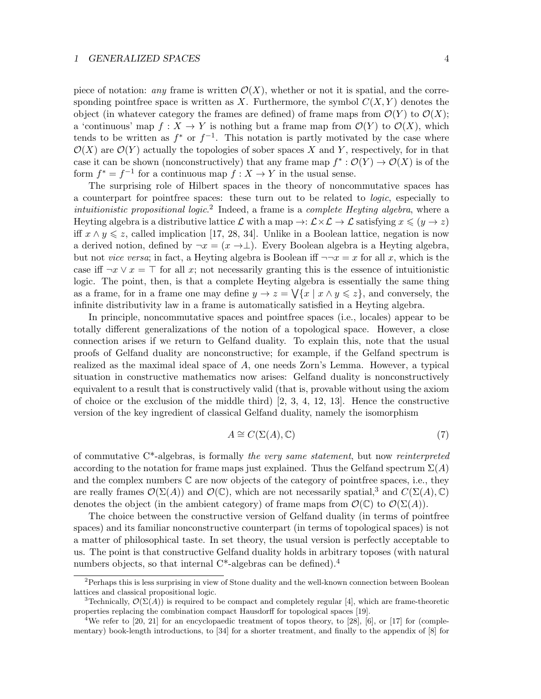piece of notation: any frame is written  $\mathcal{O}(X)$ , whether or not it is spatial, and the corresponding pointfree space is written as X. Furthermore, the symbol  $C(X, Y)$  denotes the object (in whatever category the frames are defined) of frame maps from  $\mathcal{O}(Y)$  to  $\mathcal{O}(X)$ ; a 'continuous' map  $f: X \to Y$  is nothing but a frame map from  $\mathcal{O}(Y)$  to  $\mathcal{O}(X)$ , which tends to be written as  $f^*$  or  $f^{-1}$ . This notation is partly motivated by the case where  $\mathcal{O}(X)$  are  $\mathcal{O}(Y)$  actually the topologies of sober spaces X and Y, respectively, for in that case it can be shown (nonconstructively) that any frame map  $f^* : \mathcal{O}(Y) \to \mathcal{O}(X)$  is of the form  $f^* = f^{-1}$  for a continuous map  $f : X \to Y$  in the usual sense.

The surprising role of Hilbert spaces in the theory of noncommutative spaces has a counterpart for pointfree spaces: these turn out to be related to logic, especially to intuitionistic propositional logic.<sup>2</sup> Indeed, a frame is a complete Heyting algebra, where a Heyting algebra is a distributive lattice  $\mathcal L$  with a map  $\to : \mathcal L \times \mathcal L \to \mathcal L$  satisfying  $x \leq (y \to z)$ iff  $x \wedge y \leq z$ , called implication [17, 28, 34]. Unlike in a Boolean lattice, negation is now a derived notion, defined by  $\neg x = (x \rightarrow \perp)$ . Every Boolean algebra is a Heyting algebra, but not vice versa; in fact, a Heyting algebra is Boolean iff  $\neg x = x$  for all x, which is the case iff  $\neg x \lor x = \top$  for all x; not necessarily granting this is the essence of intuitionistic logic. The point, then, is that a complete Heyting algebra is essentially the same thing as a frame, for in a frame one may define  $y \to z = \sqrt{x | x \wedge y \leq z}$ , and conversely, the infinite distributivity law in a frame is automatically satisfied in a Heyting algebra.

In principle, noncommutative spaces and pointfree spaces (i.e., locales) appear to be totally different generalizations of the notion of a topological space. However, a close connection arises if we return to Gelfand duality. To explain this, note that the usual proofs of Gelfand duality are nonconstructive; for example, if the Gelfand spectrum is realized as the maximal ideal space of A, one needs Zorn's Lemma. However, a typical situation in constructive mathematics now arises: Gelfand duality is nonconstructively equivalent to a result that is constructively valid (that is, provable without using the axiom of choice or the exclusion of the middle third)  $[2, 3, 4, 12, 13]$ . Hence the constructive version of the key ingredient of classical Gelfand duality, namely the isomorphism

$$
A \cong C(\Sigma(A), \mathbb{C}) \tag{7}
$$

of commutative  $C^*$ -algebras, is formally the very same statement, but now reinterpreted according to the notation for frame maps just explained. Thus the Gelfand spectrum  $\Sigma(A)$ and the complex numbers  $\mathbb C$  are now objects of the category of pointfree spaces, i.e., they are really frames  $\mathcal{O}(\Sigma(A))$  and  $\mathcal{O}(\mathbb{C})$ , which are not necessarily spatial,<sup>3</sup> and  $C(\Sigma(A), \mathbb{C})$ denotes the object (in the ambient category) of frame maps from  $\mathcal{O}(\mathbb{C})$  to  $\mathcal{O}(\Sigma(A))$ .

The choice between the constructive version of Gelfand duality (in terms of pointfree spaces) and its familiar nonconstructive counterpart (in terms of topological spaces) is not a matter of philosophical taste. In set theory, the usual version is perfectly acceptable to us. The point is that constructive Gelfand duality holds in arbitrary toposes (with natural numbers objects, so that internal  $C^*$ -algebras can be defined).<sup>4</sup>

 $2$ Perhaps this is less surprising in view of Stone duality and the well-known connection between Boolean lattices and classical propositional logic.

<sup>&</sup>lt;sup>3</sup>Technically,  $\mathcal{O}(\Sigma(A))$  is required to be compact and completely regular [4], which are frame-theoretic properties replacing the combination compact Hausdorff for topological spaces [19].

<sup>&</sup>lt;sup>4</sup>We refer to [20, 21] for an encyclopaedic treatment of topos theory, to [28], [6], or [17] for (complementary) book-length introductions, to [34] for a shorter treatment, and finally to the appendix of [8] for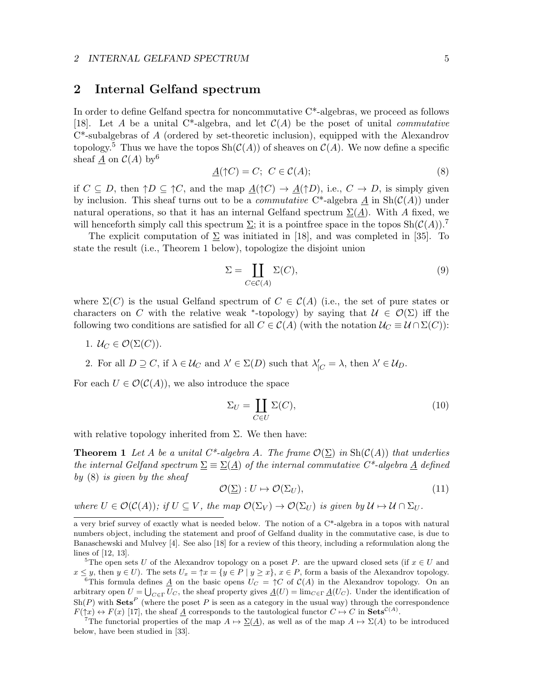#### 2 INTERNAL GELFAND SPECTRUM 5

## 2 Internal Gelfand spectrum

In order to define Gelfand spectra for noncommutative C\*-algebras, we proceed as follows [18]. Let A be a unital C<sup>\*</sup>-algebra, and let  $\mathcal{C}(A)$  be the poset of unital *commutative* C\*-subalgebras of A (ordered by set-theoretic inclusion), equipped with the Alexandrov topology.<sup>5</sup> Thus we have the topos  $\text{Sh}(\mathcal{C}(A))$  of sheaves on  $\mathcal{C}(A)$ . We now define a specific sheaf  $\underline{A}$  on  $C(A)$  by 6

$$
\underline{A}(\uparrow C) = C; \ C \in \mathcal{C}(A); \tag{8}
$$

if  $C \subseteq D$ , then  $\uparrow D \subseteq \uparrow C$ , and the map  $\underline{A}(\uparrow C) \to \underline{A}(\uparrow D)$ , i.e.,  $C \to D$ , is simply given by inclusion. This sheaf turns out to be a *commutative*  $C^*$ -algebra A in  $\text{Sh}(\mathcal{C}(A))$  under natural operations, so that it has an internal Gelfand spectrum  $\Sigma(\underline{A})$ . With A fixed, we will henceforth simply call this spectrum  $\Sigma$ ; it is a pointfree space in the topos  $\text{Sh}(\mathcal{C}(A))$ .

The explicit computation of  $\Sigma$  was initiated in [18], and was completed in [35]. To state the result (i.e., Theorem 1 below), topologize the disjoint union

$$
\Sigma = \coprod_{C \in \mathcal{C}(A)} \Sigma(C),\tag{9}
$$

where  $\Sigma(C)$  is the usual Gelfand spectrum of  $C \in \mathcal{C}(A)$  (i.e., the set of pure states or characters on C with the relative weak \*-topology) by saying that  $\mathcal{U} \in \mathcal{O}(\Sigma)$  iff the following two conditions are satisfied for all  $C \in C(A)$  (with the notation  $\mathcal{U}_C \equiv \mathcal{U} \cap \Sigma(C)$ ):

- 1.  $U_C \in \mathcal{O}(\Sigma(C)).$
- 2. For all  $D \supseteq C$ , if  $\lambda \in \mathcal{U}_C$  and  $\lambda' \in \Sigma(D)$  such that  $\lambda'_{|C} = \lambda$ , then  $\lambda' \in \mathcal{U}_D$ .

For each  $U \in \mathcal{O}(\mathcal{C}(A))$ , we also introduce the space

$$
\Sigma_U = \coprod_{C \in U} \Sigma(C),\tag{10}
$$

with relative topology inherited from  $\Sigma$ . We then have:

**Theorem 1** Let A be a unital C\*-algebra A. The frame  $\mathcal{O}(\Sigma)$  in  $\text{Sh}(\mathcal{C}(A))$  that underlies the internal Gelfand spectrum  $\Sigma \equiv \Sigma(\underline{A})$  of the internal commutative C<sup>\*</sup>-algebra  $\underline{A}$  defined by (8) is given by the sheaf

$$
\mathcal{O}(\underline{\Sigma}): U \mapsto \mathcal{O}(\Sigma_U),\tag{11}
$$

where  $U \in \mathcal{O}(\mathcal{C}(A))$ ; if  $U \subseteq V$ , the map  $\mathcal{O}(\Sigma_V) \to \mathcal{O}(\Sigma_U)$  is given by  $\mathcal{U} \mapsto \mathcal{U} \cap \Sigma_U$ .

<sup>6</sup>This formula defines <u>A</u> on the basic opens  $U_C = \uparrow C$  of  $C(A)$  in the Alexandrov topology. On an arbitrary open  $U = \bigcup_{C \in \Gamma} U_C$ , the sheaf property gives  $\underline{A}(U) = \lim_{C \in \Gamma} \underline{A}(U_C)$ . Under the identification of  $\text{Sh}(P)$  with  $\text{Sets}^P$  (where the poset P is seen as a category in the usual way) through the correspondence  $F(\uparrow x) \leftrightarrow F(x)$  [17], the sheaf  $\underline{A}$  corresponds to the tautological functor  $C \mapsto C$  in  $\textbf{Sets}^{\mathcal{C}(A)}$ .

The functorial properties of the map  $A \mapsto \Sigma(A)$ , as well as of the map  $A \mapsto \Sigma(A)$  to be introduced below, have been studied in [33].

a very brief survey of exactly what is needed below. The notion of a C\*-algebra in a topos with natural numbers object, including the statement and proof of Gelfand duality in the commutative case, is due to Banaschewski and Mulvey [4]. See also [18] for a review of this theory, including a reformulation along the lines of [12, 13].

<sup>&</sup>lt;sup>5</sup>The open sets U of the Alexandrov topology on a poset P. are the upward closed sets (if  $x \in U$  and  $x \leq y$ , then  $y \in U$ ). The sets  $U_x = \Upsilon x = \{y \in P \mid y \geq x\}$ ,  $x \in P$ , form a basis of the Alexandrov topology.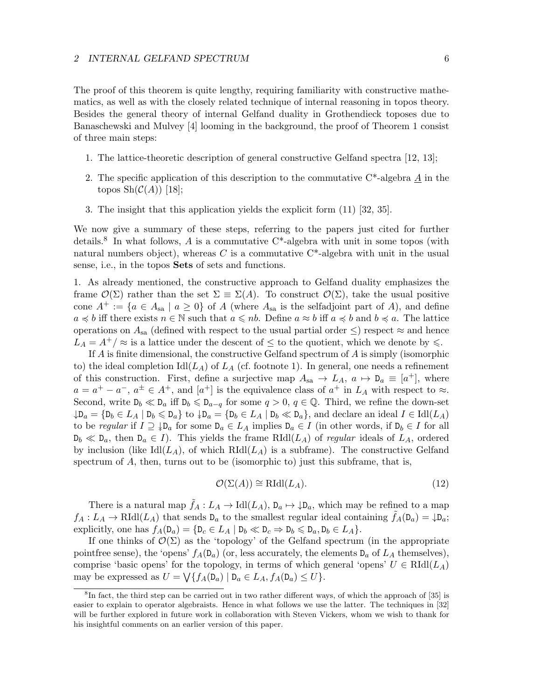#### 2 INTERNAL GELFAND SPECTRUM 6

The proof of this theorem is quite lengthy, requiring familiarity with constructive mathematics, as well as with the closely related technique of internal reasoning in topos theory. Besides the general theory of internal Gelfand duality in Grothendieck toposes due to Banaschewski and Mulvey [4] looming in the background, the proof of Theorem 1 consist of three main steps:

- 1. The lattice-theoretic description of general constructive Gelfand spectra [12, 13];
- 2. The specific application of this description to the commutative  $C^*$ -algebra A in the topos  $\mathrm{Sh}(\mathcal{C}(A))$  [18];
- 3. The insight that this application yields the explicit form (11) [32, 35].

We now give a summary of these steps, referring to the papers just cited for further details.<sup>8</sup> In what follows, A is a commutative  $C^*$ -algebra with unit in some topos (with natural numbers object), whereas C is a commutative  $C^*$ -algebra with unit in the usual sense, i.e., in the topos **Sets** of sets and functions.

1. As already mentioned, the constructive approach to Gelfand duality emphasizes the frame  $\mathcal{O}(\Sigma)$  rather than the set  $\Sigma = \Sigma(A)$ . To construct  $\mathcal{O}(\Sigma)$ , take the usual positive cone  $A^+ := \{a \in A_{sa} \mid a \geq 0\}$  of A (where  $A_{sa}$  is the selfadjoint part of A), and define  $a \preccurlyeq b$  iff there exists  $n \in \mathbb{N}$  such that  $a \leq n b$ . Define  $a \approx b$  iff  $a \preccurlyeq b$  and  $b \preccurlyeq a$ . The lattice operations on  $A_{sa}$  (defined with respect to the usual partial order  $\leq$ ) respect  $\approx$  and hence  $L_A = A^{\dagger}/\approx$  is a lattice under the descent of  $\leq$  to the quotient, which we denote by  $\leq$ .

If  $A$  is finite dimensional, the constructive Gelfand spectrum of  $A$  is simply (isomorphic to) the ideal completion  $\text{Id}(L_A)$  of  $L_A$  (cf. footnote 1). In general, one needs a refinement of this construction. First, define a surjective map  $A_{sa} \to L_A$ ,  $a \mapsto D_a \equiv [a^+]$ , where  $a = a^+ - a^-$ ,  $a^{\pm} \in A^+$ , and  $[a^+]$  is the equivalence class of  $a^+$  in  $L_A$  with respect to  $\approx$ . Second, write  $D_b \ll D_a$  iff  $D_b \le D_{a-q}$  for some  $q > 0$ ,  $q \in \mathbb{Q}$ . Third, we refine the down-set  $\downarrow$ D<sub>a</sub> = {D<sub>b</sub> ∈ L<sub>A</sub> | D<sub>b</sub> ≤ D<sub>a</sub>} to  $\downarrow$ D<sub>a</sub> = {D<sub>b</sub> ∈ L<sub>A</sub> | D<sub>b</sub> ≪ D<sub>a</sub>}, and declare an ideal I ∈ Idl(L<sub>A</sub>) to be regular if  $I \supseteq \downarrow D_a$  for some  $D_a \in L_A$  implies  $D_a \in I$  (in other words, if  $D_b \in I$  for all  $D_b \ll D_a$ , then  $D_a \in I$ ). This yields the frame RIdl $(L_A)$  of *regular* ideals of  $L_A$ , ordered by inclusion (like  $\text{Idl}(L_A)$ , of which  $\text{Rldl}(L_A)$  is a subframe). The constructive Gelfand spectrum of  $A$ , then, turns out to be (isomorphic to) just this subframe, that is,

$$
\mathcal{O}(\Sigma(A)) \cong \mathrm{RIdl}(L_A). \tag{12}
$$

There is a natural map  $f_A: L_A \to \text{Idl}(L_A)$ ,  $D_a \mapsto \downarrow D_a$ , which may be refined to a map  $f_A: L_A \to \text{RIdl}(L_A)$  that sends  $D_a$  to the smallest regular ideal containing  $f_A(D_a) = \downarrow D_a$ ; explicitly, one has  $f_A(\mathsf{D}_a) = \{\mathsf{D}_c \in L_A \mid \mathsf{D}_b \ll \mathsf{D}_c \Rightarrow \mathsf{D}_b \leq \mathsf{D}_a, \mathsf{D}_b \in L_A\}.$ 

If one thinks of  $\mathcal{O}(\Sigma)$  as the 'topology' of the Gelfand spectrum (in the appropriate point free sense), the 'opens'  $f_A(\mathsf{D}_a)$  (or, less accurately, the elements  $\mathsf{D}_a$  of  $L_A$  themselves), comprise 'basic opens' for the topology, in terms of which general 'opens'  $U \in \text{RId}(L_A)$ may be expressed as  $U = \bigvee \{ f_A(\mathsf{D}_a) \mid \mathsf{D}_a \in L_A, f_A(\mathsf{D}_a) \leq U \}.$ 

<sup>&</sup>lt;sup>8</sup>In fact, the third step can be carried out in two rather different ways, of which the approach of [35] is easier to explain to operator algebraists. Hence in what follows we use the latter. The techniques in [32] will be further explored in future work in collaboration with Steven Vickers, whom we wish to thank for his insightful comments on an earlier version of this paper.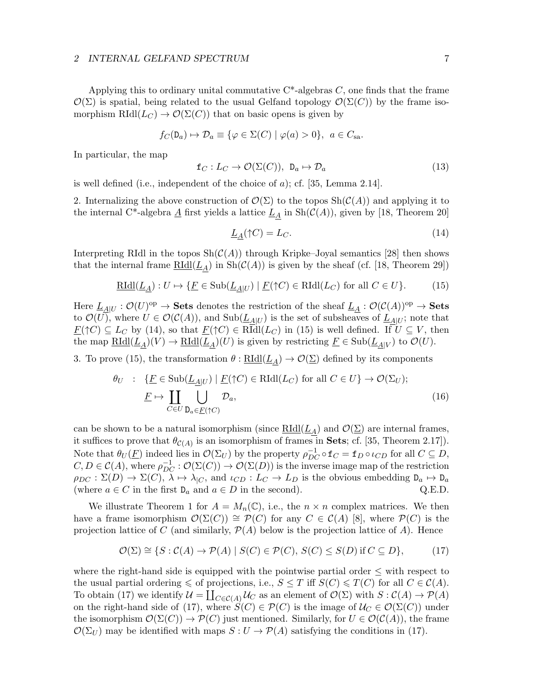#### 2 INTERNAL GELFAND SPECTRUM 7

Applying this to ordinary unital commutative  $C^*$ -algebras C, one finds that the frame  $\mathcal{O}(\Sigma)$  is spatial, being related to the usual Gelfand topology  $\mathcal{O}(\Sigma(C))$  by the frame isomorphism  $RIdl(L_C) \to \mathcal{O}(\Sigma(C))$  that on basic opens is given by

$$
f_C(\mathsf{D}_a) \mapsto \mathcal{D}_a \equiv \{ \varphi \in \Sigma(C) \mid \varphi(a) > 0 \}, \ a \in C_{\text{sa}}.
$$

In particular, the map

$$
\mathbf{f}_C: L_C \to \mathcal{O}(\Sigma(C)), \ \mathbf{D}_a \mapsto \mathcal{D}_a \tag{13}
$$

is well defined (i.e., independent of the choice of a); cf. [35, Lemma 2.14].

2. Internalizing the above construction of  $\mathcal{O}(\Sigma)$  to the topos  $\text{Sh}(\mathcal{C}(A))$  and applying it to the internal C<sup>\*</sup>-algebra  $\underline{A}$  first yields a lattice  $\underline{L}_A$  in  $\text{Sh}(\mathcal{C}(A))$ , given by [18, Theorem 20]

$$
\underline{L}_A(\uparrow C) = L_C. \tag{14}
$$

Interpreting RIdl in the topos  $\text{Sh}(\mathcal{C}(A))$  through Kripke–Joyal semantics [28] then shows that the internal frame  $\underline{RIdl}(L_A)$  in  $\text{Sh}(\mathcal{C}(A))$  is given by the sheaf (cf. [18, Theorem 29])

$$
\underline{\text{RIdl}}(\underline{L}_{\underline{A}}): U \mapsto \{ \underline{F} \in \text{Sub}(\underline{L}_{\underline{A}|U}) \mid \underline{F}(\uparrow C) \in \text{RIdl}(L_C) \text{ for all } C \in U \}. \tag{15}
$$

Here  $\underline{L}_{A|U} : \mathcal{O}(U)^\text{op} \to \mathbf{Sets}$  denotes the restriction of the sheaf  $\underline{L}_A : \mathcal{O}(\mathcal{C}(A))^\text{op} \to \mathbf{Sets}$ to  $\mathcal{O}(U)$ , where  $U \in \mathcal{O}(\mathcal{C}(A))$ , and  $\text{Sub}(\underline{L}_{A|U})$  is the set of subsheaves of  $\underline{L}_{A|U}$ ; note that  $\underline{F}(\uparrow C) \subseteq L_C$  by (14), so that  $\underline{F}(\uparrow C) \in \text{RIdl}(L_C)$  in (15) is well defined. If  $U \subseteq V$ , then the map  $\underline{\text{RIdl}}(\underline{L}_A)(V) \to \underline{\text{RIdl}}(\underline{L}_A)(U)$  is given by restricting  $\underline{F} \in \text{Sub}(\underline{L}_{A|V})$  to  $\mathcal{O}(U)$ .

3. To prove (15), the transformation  $\theta : \underline{RIdl}(\underline{L}_A) \to \mathcal{O}(\underline{\Sigma})$  defined by its components

$$
\theta_U : \{ \underline{F} \in \text{Sub}(\underline{L}_{\underline{A}|U}) \mid \underline{F}(\uparrow C) \in \text{RIdl}(L_C) \text{ for all } C \in U \} \to \mathcal{O}(\Sigma_U);
$$
\n
$$
\underline{F} \mapsto \coprod_{C \in U} \bigcup_{\mathbf{D}_a \in \underline{F}(\uparrow C)} \mathcal{D}_a,
$$
\n(16)

can be shown to be a natural isomorphism (since  $\underline{RIdl}(L_A)$  and  $\mathcal{O}(\Sigma)$  are internal frames, it suffices to prove that  $\theta_{\mathcal{C}(A)}$  is an isomorphism of frames in **Sets**; cf. [35, Theorem 2.17]). Note that  $\theta_U(\underline{F})$  indeed lies in  $\mathcal{O}(\Sigma_U)$  by the property  $\rho_{DC}^{-1} \circ \mathbf{f}_C = \mathbf{f}_D \circ \iota_{CD}$  for all  $C \subseteq D$ ,  $C, D \in \mathcal{C}(A)$ , where  $\rho_{DC}^{-1} : \mathcal{O}(\Sigma(C)) \to \mathcal{O}(\Sigma(D))$  is the inverse image map of the restriction  $\rho_{DC}: \Sigma(D) \to \Sigma(C), \lambda \mapsto \lambda_{|C}$ , and  $\iota_{CD}: L_C \to L_D$  is the obvious embedding  $D_a \mapsto D_a$ (where  $a \in C$  in the first  $D_a$  and  $a \in D$  in the second). Q.E.D.

We illustrate Theorem 1 for  $A = M_n(\mathbb{C})$ , i.e., the  $n \times n$  complex matrices. We then have a frame isomorphism  $\mathcal{O}(\Sigma(C)) \cong \mathcal{P}(C)$  for any  $C \in \mathcal{C}(A)$  [8], where  $\mathcal{P}(C)$  is the projection lattice of C (and similarly,  $\mathcal{P}(A)$  below is the projection lattice of A). Hence

$$
\mathcal{O}(\Sigma) \cong \{ S : \mathcal{C}(A) \to \mathcal{P}(A) \mid S(C) \in \mathcal{P}(C), S(C) \le S(D) \text{ if } C \subseteq D \},\tag{17}
$$

where the right-hand side is equipped with the pointwise partial order  $\leq$  with respect to the usual partial ordering  $\leq$  of projections, i.e.,  $S \leq T$  iff  $S(C) \leq T(C)$  for all  $C \in \mathcal{C}(A)$ . To obtain (17) we identify  $\mathcal{U} = \coprod_{C \in \mathcal{C}(A)} \mathcal{U}_C$  as an element of  $\mathcal{O}(\Sigma)$  with  $S : \mathcal{C}(A) \to \mathcal{P}(A)$ on the right-hand side of (17), where  $S(C) \in \mathcal{P}(C)$  is the image of  $\mathcal{U}_C \in \mathcal{O}(\Sigma(C))$  under the isomorphism  $\mathcal{O}(\Sigma(C)) \to \mathcal{P}(C)$  just mentioned. Similarly, for  $U \in \mathcal{O}(\mathcal{C}(A))$ , the frame  $\mathcal{O}(\Sigma_U)$  may be identified with maps  $S: U \to \mathcal{P}(A)$  satisfying the conditions in (17).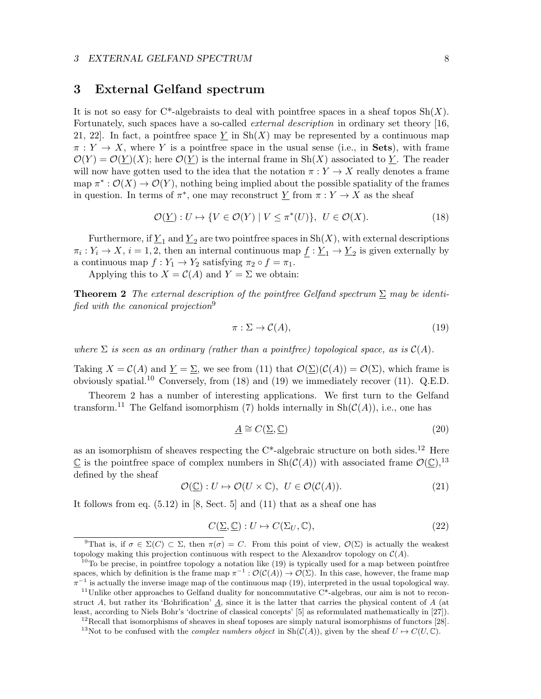## 3 External Gelfand spectrum

It is not so easy for  $C^*$ -algebraists to deal with pointfree spaces in a sheaf topos  $Sh(X)$ . Fortunately, such spaces have a so-called *external description* in ordinary set theory [16, 21, 22. In fact, a pointfree space  $\underline{Y}$  in Sh(X) may be represented by a continuous map  $\pi: Y \to X$ , where Y is a point free space in the usual sense (i.e., in Sets), with frame  $\mathcal{O}(Y) = \mathcal{O}(\underline{Y})(X)$ ; here  $\mathcal{O}(\underline{Y})$  is the internal frame in Sh(X) associated to  $\underline{Y}$ . The reader will now have gotten used to the idea that the notation  $\pi: Y \to X$  really denotes a frame map  $\pi^*: \mathcal{O}(X) \to \mathcal{O}(Y)$ , nothing being implied about the possible spatiality of the frames in question. In terms of  $\pi^*$ , one may reconstruct  $\underline{Y}$  from  $\pi: Y \to X$  as the sheaf

$$
\mathcal{O}(\underline{Y}): U \mapsto \{ V \in \mathcal{O}(Y) \mid V \leq \pi^*(U) \}, \ U \in \mathcal{O}(X). \tag{18}
$$

Furthermore, if  $\underline{Y}_1$  and  $\underline{Y}_2$  are two pointfree spaces in Sh(X), with external descriptions  $\pi_i: Y_i \to X$ ,  $i = 1, 2$ , then an internal continuous map  $\underline{f} : \underline{Y}_1 \to \underline{Y}_2$  is given externally by a continuous map  $f: Y_1 \to Y_2$  satisfying  $\pi_2 \circ f = \pi_1$ .

Applying this to  $X = \mathcal{C}(A)$  and  $Y = \Sigma$  we obtain:

**Theorem 2** The external description of the pointfree Gelfand spectrum  $\Sigma$  may be identified with the canonical projection<sup>9</sup>

$$
\pi: \Sigma \to \mathcal{C}(A),\tag{19}
$$

where  $\Sigma$  is seen as an ordinary (rather than a point free) topological space, as is  $\mathcal{C}(A)$ .

Taking  $X = C(A)$  and  $Y = \Sigma$ , we see from (11) that  $\mathcal{O}(\Sigma)(\mathcal{C}(A)) = \mathcal{O}(\Sigma)$ , which frame is obviously spatial.<sup>10</sup> Conversely, from  $(18)$  and  $(19)$  we immediately recover  $(11)$ . Q.E.D.

Theorem 2 has a number of interesting applications. We first turn to the Gelfand transform.<sup>11</sup> The Gelfand isomorphism (7) holds internally in  $\text{Sh}(\mathcal{C}(A))$ , i.e., one has

$$
\underline{A} \cong C(\underline{\Sigma}, \underline{\mathbb{C}}) \tag{20}
$$

as an isomorphism of sheaves respecting the  $C^*$ -algebraic structure on both sides.<sup>12</sup> Here  $\mathbb C$  is the pointfree space of complex numbers in  $\text{Sh}(\mathcal C(A))$  with associated frame  $\mathcal O(\mathbb C),^{13}$ defined by the sheaf

$$
\mathcal{O}(\underline{\mathbb{C}}): U \mapsto \mathcal{O}(U \times \mathbb{C}), \ U \in \mathcal{O}(\mathcal{C}(A)).
$$
\n(21)

It follows from eq. (5.12) in [8, Sect. 5] and (11) that as a sheaf one has

$$
C(\underline{\Sigma}, \underline{\mathbb{C}}) : U \mapsto C(\Sigma_U, \mathbb{C}), \tag{22}
$$

<sup>&</sup>lt;sup>9</sup>That is, if  $\sigma \in \Sigma(C) \subset \Sigma$ , then  $\pi(\sigma) = C$ . From this point of view,  $\mathcal{O}(\Sigma)$  is actually the weakest topology making this projection continuous with respect to the Alexandrov topology on  $C(A)$ .

 $10T<sub>10</sub>$  be precise, in pointfree topology a notation like (19) is typically used for a map between pointfree spaces, which by definition is the frame map  $\pi^{-1} : \mathcal{O}(\mathcal{C}(A)) \to \mathcal{O}(\Sigma)$ . In this case, however, the frame map  $\pi^{-1}$  is actually the inverse image map of the continuous map (19), interpreted in the usual topological way.

 $11$ Unlike other approaches to Gelfand duality for noncommutative C\*-algebras, our aim is not to reconstruct A, but rather its 'Bohrification'  $\underline{A}$ , since it is the latter that carries the physical content of A (at least, according to Niels Bohr's 'doctrine of classical concepts' [5] as reformulated mathematically in [27]).

 $12$ Recall that isomorphisms of sheaves in sheaf toposes are simply natural isomorphisms of functors [28].

<sup>&</sup>lt;sup>13</sup>Not to be confused with the *complex numbers object* in  $\text{Sh}(\mathcal{C}(A))$ , given by the sheaf  $U \mapsto C(U,\mathbb{C})$ .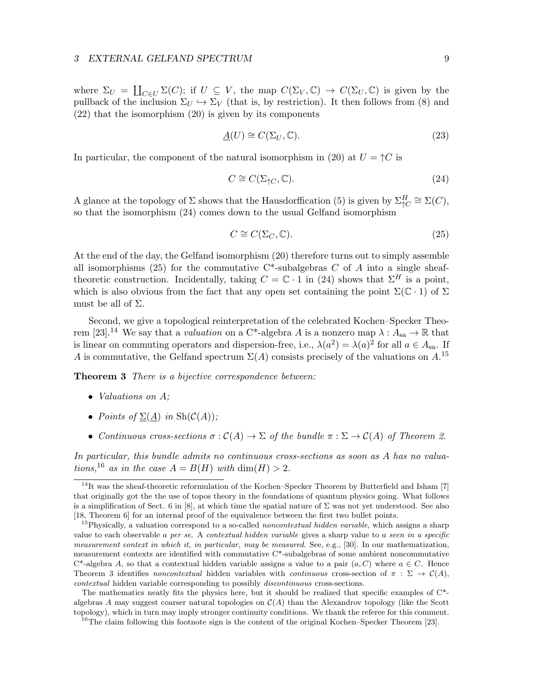#### 3 EXTERNAL GELFAND SPECTRUM 9

where  $\Sigma_U = \coprod_{C \in U} \Sigma(C)$ ; if  $U \subseteq V$ , the map  $C(\Sigma_V, \mathbb{C}) \to C(\Sigma_U, \mathbb{C})$  is given by the pullback of the inclusion  $\Sigma_U \hookrightarrow \Sigma_V$  (that is, by restriction). It then follows from (8) and (22) that the isomorphism (20) is given by its components

$$
\underline{A}(U) \cong C(\Sigma_U, \mathbb{C}).\tag{23}
$$

In particular, the component of the natural isomorphism in (20) at  $U = \Upsilon C$  is

$$
C \cong C(\Sigma_{\uparrow C}, \mathbb{C}).\tag{24}
$$

A glance at the topology of  $\Sigma$  shows that the Hausdorffication (5) is given by  $\Sigma_{\uparrow C}^H \cong \Sigma(C)$ , so that the isomorphism (24) comes down to the usual Gelfand isomorphism

$$
C \cong C(\Sigma_C, \mathbb{C}).\tag{25}
$$

At the end of the day, the Gelfand isomorphism (20) therefore turns out to simply assemble all isomorphisms (25) for the commutative  $C^*$ -subalgebras C of A into a single sheaftheoretic construction. Incidentally, taking  $C = \mathbb{C} \cdot 1$  in (24) shows that  $\Sigma^H$  is a point. which is also obvious from the fact that any open set containing the point  $\Sigma(\mathbb{C} \cdot 1)$  of  $\Sigma$ must be all of  $\Sigma$ .

Second, we give a topological reinterpretation of the celebrated Kochen–Specker Theorem [23].<sup>14</sup> We say that a *valuation* on a C<sup>\*</sup>-algebra A is a nonzero map  $\lambda : A_{sa} \to \mathbb{R}$  that is linear on commuting operators and dispersion-free, i.e.,  $\lambda(a^2) = \lambda(a)^2$  for all  $a \in A_{sa}$ . If A is commutative, the Gelfand spectrum  $\Sigma(A)$  consists precisely of the valuations on  $A$ .<sup>15</sup>

**Theorem 3** There is a bijective correspondence between:

- Valuations on A;
- Points of  $\Sigma(\underline{A})$  in  $\text{Sh}(\mathcal{C}(A))$ ;
- Continuous cross-sections  $\sigma : \mathcal{C}(A) \to \Sigma$  of the bundle  $\pi : \Sigma \to \mathcal{C}(A)$  of Theorem 2.

In particular, this bundle admits no continuous cross-sections as soon as A has no valuations,<sup>16</sup> as in the case  $A = B(H)$  with  $\dim(H) > 2$ .

 $14$ It was the sheaf-theoretic reformulation of the Kochen–Specker Theorem by Butterfield and Isham [7] that originally got the the use of topos theory in the foundations of quantum physics going. What follows is a simplification of Sect. 6 in [8], at which time the spatial nature of  $\Sigma$  was not yet understood. See also [18, Theorem 6] for an internal proof of the equivalence between the first two bullet points.

<sup>&</sup>lt;sup>15</sup>Physically, a valuation correspond to a so-called *noncontextual hidden variable*, which assigns a sharp value to each observable a per se. A contextual hidden variable gives a sharp value to a seen in a specific measurement context in which it, in particular, may be measured. See, e.g., [30]. In our mathematization, measurement contexts are identified with commutative C\*-subalgebras of some ambient noncommutative  $C^*$ -algebra A, so that a contextual hidden variable assigns a value to a pair  $(a, C)$  where  $a \in C$ . Hence Theorem 3 identifies noncontextual hidden variables with continuous cross-section of  $\pi : \Sigma \to \mathcal{C}(A)$ . contextual hidden variable corresponding to possibly discontinuous cross-sections.

The mathematics neatly fits the physics here, but it should be realized that specific examples of C\* algebras A may suggest coarser natural topologies on  $\mathcal{C}(A)$  than the Alexandrov topology (like the Scott topology), which in turn may imply stronger continuity conditions. We thank the referee for this comment.

 $^{16}$ The claim following this footnote sign is the content of the original Kochen–Specker Theorem [23].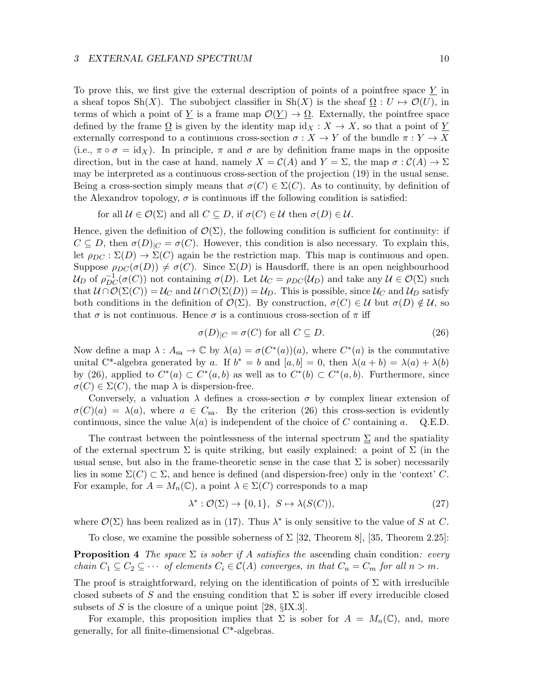### 3 EXTERNAL GELFAND SPECTRUM 10

To prove this, we first give the external description of points of a pointfree space Y in a sheaf topos Sh(X). The subobject classifier in Sh(X) is the sheaf  $\Omega : U \mapsto \mathcal{O}(U)$ , in terms of which a point of Y is a frame map  $\mathcal{O}(Y) \to \Omega$ . Externally, the pointfree space defined by the frame  $\Omega$  is given by the identity map  $\mathrm{id}_X : X \to X$ , so that a point of Y externally correspond to a continuous cross-section  $\sigma: X \to Y$  of the bundle  $\pi: Y \to X$ (i.e.,  $\pi \circ \sigma = \text{id}_X$ ). In principle,  $\pi$  and  $\sigma$  are by definition frame maps in the opposite direction, but in the case at hand, namely  $X = \mathcal{C}(A)$  and  $Y = \Sigma$ , the map  $\sigma : \mathcal{C}(A) \to \Sigma$ may be interpreted as a continuous cross-section of the projection (19) in the usual sense. Being a cross-section simply means that  $\sigma(C) \in \Sigma(C)$ . As to continuity, by definition of the Alexandrov topology,  $\sigma$  is continuous iff the following condition is satisfied:

for all  $U \in \mathcal{O}(\Sigma)$  and all  $C \subseteq D$ , if  $\sigma(C) \in \mathcal{U}$  then  $\sigma(D) \in \mathcal{U}$ .

Hence, given the definition of  $\mathcal{O}(\Sigma)$ , the following condition is sufficient for continuity: if  $C \subseteq D$ , then  $\sigma(D)_{|C} = \sigma(C)$ . However, this condition is also necessary. To explain this, let  $\rho_{DC} : \Sigma(D) \to \Sigma(C)$  again be the restriction map. This map is continuous and open. Suppose  $\rho_{DC}(\sigma(D)) \neq \sigma(C)$ . Since  $\Sigma(D)$  is Hausdorff, there is an open neighbourhood  $\mathcal{U}_D$  of  $\rho_{DC}^{-1}(\sigma(C))$  not containing  $\sigma(D)$ . Let  $\mathcal{U}_C = \rho_{DC}(\mathcal{U}_D)$  and take any  $\mathcal{U} \in \mathcal{O}(\Sigma)$  such that  $U \cap \overline{\mathcal{O}}(\Sigma(C)) = \mathcal{U}_C$  and  $U \cap \mathcal{O}(\Sigma(D)) = \mathcal{U}_D$ . This is possible, since  $\mathcal{U}_C$  and  $\mathcal{U}_D$  satisfy both conditions in the definition of  $\mathcal{O}(\Sigma)$ . By construction,  $\sigma(C) \in \mathcal{U}$  but  $\sigma(D) \notin \mathcal{U}$ , so that  $\sigma$  is not continuous. Hence  $\sigma$  is a continuous cross-section of  $\pi$  iff

$$
\sigma(D)_{|C} = \sigma(C) \text{ for all } C \subseteq D. \tag{26}
$$

Now define a map  $\lambda: A_{sa} \to \mathbb{C}$  by  $\lambda(a) = \sigma(C^*(a))(a)$ , where  $C^*(a)$  is the commutative unital C<sup>\*</sup>-algebra generated by a. If  $b^* = b$  and  $[a, b] = 0$ , then  $\lambda(a + b) = \lambda(a) + \lambda(b)$ by (26), applied to  $C^*(a) \subset C^*(a, b)$  as well as to  $C^*(b) \subset C^*(a, b)$ . Furthermore, since  $\sigma(C) \in \Sigma(C)$ , the map  $\lambda$  is dispersion-free.

Conversely, a valuation  $\lambda$  defines a cross-section  $\sigma$  by complex linear extension of  $\sigma(C)(a) = \lambda(a)$ , where  $a \in C_{sa}$ . By the criterion (26) this cross-section is evidently continuous, since the value  $\lambda(a)$  is independent of the choice of C containing a. Q.E.D.

The contrast between the pointlessness of the internal spectrum  $\Sigma$  and the spatiality of the external spectrum  $\Sigma$  is quite striking, but easily explained: a point of  $\Sigma$  (in the usual sense, but also in the frame-theoretic sense in the case that  $\Sigma$  is sober) necessarily lies in some  $\Sigma(C) \subset \Sigma$ , and hence is defined (and dispersion-free) only in the 'context' C. For example, for  $A = M_n(\mathbb{C})$ , a point  $\lambda \in \Sigma(C)$  corresponds to a map

$$
\lambda^* : \mathcal{O}(\Sigma) \to \{0, 1\}, \ S \mapsto \lambda(S(C)), \tag{27}
$$

where  $\mathcal{O}(\Sigma)$  has been realized as in (17). Thus  $\lambda^*$  is only sensitive to the value of S at C.

To close, we examine the possible soberness of  $\Sigma$  [32, Theorem 8], [35, Theorem 2.25]:

**Proposition 4** The space  $\Sigma$  is sober if A satisfies the ascending chain condition: every chain  $C_1 \subseteq C_2 \subseteq \cdots$  of elements  $C_i \in \mathcal{C}(A)$  converges, in that  $C_n = C_m$  for all  $n > m$ .

The proof is straightforward, relying on the identification of points of  $\Sigma$  with irreducible closed subsets of S and the ensuing condition that  $\Sigma$  is sober iff every irreducible closed subsets of S is the closure of a unique point [28,  $\S$ IX.3].

For example, this proposition implies that  $\Sigma$  is sober for  $A = M_n(\mathbb{C})$ , and, more generally, for all finite-dimensional C\*-algebras.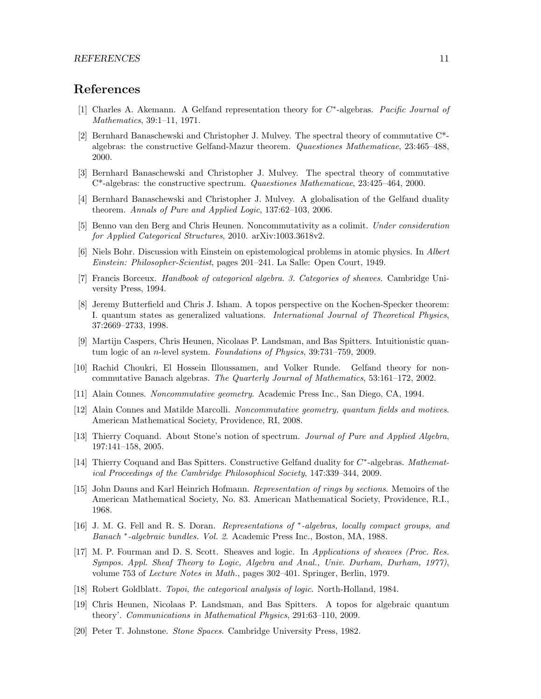# References

- [1] Charles A. Akemann. A Gelfand representation theory for C<sup>\*</sup>-algebras. Pacific Journal of Mathematics, 39:1–11, 1971.
- [2] Bernhard Banaschewski and Christopher J. Mulvey. The spectral theory of commutative C\* algebras: the constructive Gelfand-Mazur theorem. Quaestiones Mathematicae, 23:465–488, 2000.
- [3] Bernhard Banaschewski and Christopher J. Mulvey. The spectral theory of commutative C\*-algebras: the constructive spectrum. Quaestiones Mathematicae, 23:425–464, 2000.
- [4] Bernhard Banaschewski and Christopher J. Mulvey. A globalisation of the Gelfand duality theorem. Annals of Pure and Applied Logic, 137:62–103, 2006.
- [5] Benno van den Berg and Chris Heunen. Noncommutativity as a colimit. Under consideration for Applied Categorical Structures, 2010. arXiv:1003.3618v2.
- [6] Niels Bohr. Discussion with Einstein on epistemological problems in atomic physics. In Albert Einstein: Philosopher-Scientist, pages 201–241. La Salle: Open Court, 1949.
- [7] Francis Borceux. Handbook of categorical algebra. 3. Categories of sheaves. Cambridge University Press, 1994.
- [8] Jeremy Butterfield and Chris J. Isham. A topos perspective on the Kochen-Specker theorem: I. quantum states as generalized valuations. International Journal of Theoretical Physics, 37:2669–2733, 1998.
- [9] Martijn Caspers, Chris Heunen, Nicolaas P. Landsman, and Bas Spitters. Intuitionistic quantum logic of an n-level system. Foundations of Physics, 39:731–759, 2009.
- [10] Rachid Choukri, El Hossein Illoussamen, and Volker Runde. Gelfand theory for noncommutative Banach algebras. The Quarterly Journal of Mathematics, 53:161–172, 2002.
- [11] Alain Connes. Noncommutative geometry. Academic Press Inc., San Diego, CA, 1994.
- [12] Alain Connes and Matilde Marcolli. Noncommutative geometry, quantum fields and motives. American Mathematical Society, Providence, RI, 2008.
- [13] Thierry Coquand. About Stone's notion of spectrum. Journal of Pure and Applied Algebra, 197:141–158, 2005.
- [14] Thierry Coquand and Bas Spitters. Constructive Gelfand duality for C<sup>\*</sup>-algebras. Mathematical Proceedings of the Cambridge Philosophical Society, 147:339–344, 2009.
- [15] John Dauns and Karl Heinrich Hofmann. Representation of rings by sections. Memoirs of the American Mathematical Society, No. 83. American Mathematical Society, Providence, R.I., 1968.
- [16] J. M. G. Fell and R. S. Doran. Representations of \*-algebras, locally compact groups, and Banach <sup>∗</sup> -algebraic bundles. Vol. 2. Academic Press Inc., Boston, MA, 1988.
- [17] M. P. Fourman and D. S. Scott. Sheaves and logic. In Applications of sheaves (Proc. Res. Sympos. Appl. Sheaf Theory to Logic, Algebra and Anal., Univ. Durham, Durham, 1977), volume 753 of Lecture Notes in Math., pages 302–401. Springer, Berlin, 1979.
- [18] Robert Goldblatt. Topoi, the categorical analysis of logic. North-Holland, 1984.
- [19] Chris Heunen, Nicolaas P. Landsman, and Bas Spitters. A topos for algebraic quantum theory'. Communications in Mathematical Physics, 291:63–110, 2009.
- [20] Peter T. Johnstone. Stone Spaces. Cambridge University Press, 1982.